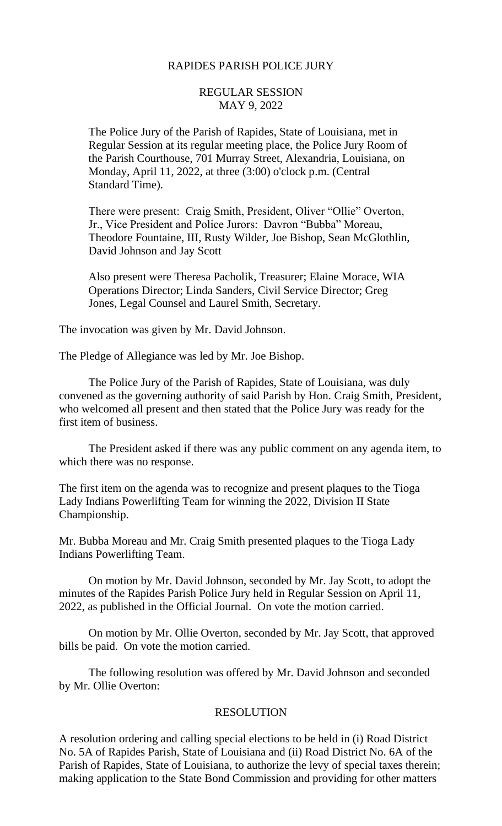## RAPIDES PARISH POLICE JURY

## REGULAR SESSION MAY 9, 2022

The Police Jury of the Parish of Rapides, State of Louisiana, met in Regular Session at its regular meeting place, the Police Jury Room of the Parish Courthouse, 701 Murray Street, Alexandria, Louisiana, on Monday, April 11, 2022, at three (3:00) o'clock p.m. (Central Standard Time).

There were present: Craig Smith, President, Oliver "Ollie" Overton, Jr., Vice President and Police Jurors: Davron "Bubba" Moreau, Theodore Fountaine, III, Rusty Wilder, Joe Bishop, Sean McGlothlin, David Johnson and Jay Scott

Also present were Theresa Pacholik, Treasurer; Elaine Morace, WIA Operations Director; Linda Sanders, Civil Service Director; Greg Jones, Legal Counsel and Laurel Smith, Secretary.

The invocation was given by Mr. David Johnson.

The Pledge of Allegiance was led by Mr. Joe Bishop.

The Police Jury of the Parish of Rapides, State of Louisiana, was duly convened as the governing authority of said Parish by Hon. Craig Smith, President, who welcomed all present and then stated that the Police Jury was ready for the first item of business.

The President asked if there was any public comment on any agenda item, to which there was no response.

The first item on the agenda was to recognize and present plaques to the Tioga Lady Indians Powerlifting Team for winning the 2022, Division II State Championship.

Mr. Bubba Moreau and Mr. Craig Smith presented plaques to the Tioga Lady Indians Powerlifting Team.

On motion by Mr. David Johnson, seconded by Mr. Jay Scott, to adopt the minutes of the Rapides Parish Police Jury held in Regular Session on April 11, 2022, as published in the Official Journal. On vote the motion carried.

On motion by Mr. Ollie Overton, seconded by Mr. Jay Scott, that approved bills be paid. On vote the motion carried.

The following resolution was offered by Mr. David Johnson and seconded by Mr. Ollie Overton:

## RESOLUTION

A resolution ordering and calling special elections to be held in (i) Road District No. 5A of Rapides Parish, State of Louisiana and (ii) Road District No. 6A of the Parish of Rapides, State of Louisiana, to authorize the levy of special taxes therein; making application to the State Bond Commission and providing for other matters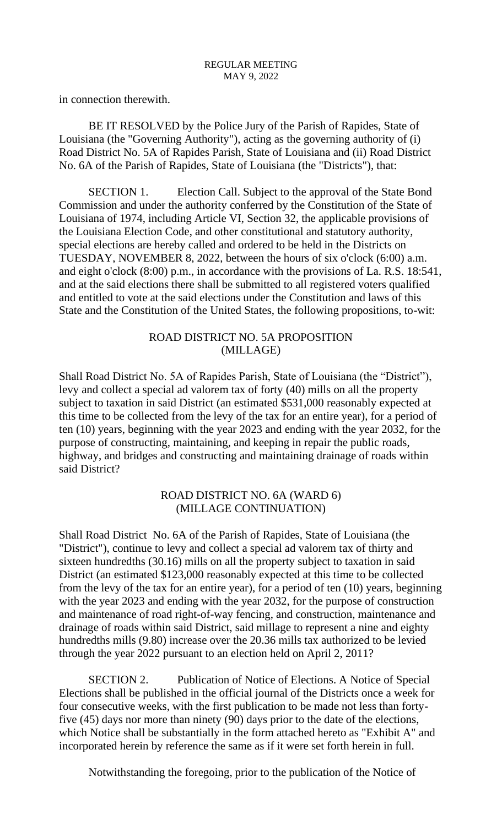in connection therewith.

BE IT RESOLVED by the Police Jury of the Parish of Rapides, State of Louisiana (the "Governing Authority"), acting as the governing authority of (i) Road District No. 5A of Rapides Parish, State of Louisiana and (ii) Road District No. 6A of the Parish of Rapides, State of Louisiana (the "Districts"), that:

SECTION 1. Election Call. Subject to the approval of the State Bond Commission and under the authority conferred by the Constitution of the State of Louisiana of 1974, including Article VI, Section 32, the applicable provisions of the Louisiana Election Code, and other constitutional and statutory authority, special elections are hereby called and ordered to be held in the Districts on TUESDAY, NOVEMBER 8, 2022, between the hours of six o'clock (6:00) a.m. and eight o'clock (8:00) p.m., in accordance with the provisions of La. R.S. 18:541, and at the said elections there shall be submitted to all registered voters qualified and entitled to vote at the said elections under the Constitution and laws of this State and the Constitution of the United States, the following propositions, to-wit:

## ROAD DISTRICT NO. 5A PROPOSITION (MILLAGE)

Shall Road District No. 5A of Rapides Parish, State of Louisiana (the "District"), levy and collect a special ad valorem tax of forty (40) mills on all the property subject to taxation in said District (an estimated \$531,000 reasonably expected at this time to be collected from the levy of the tax for an entire year), for a period of ten (10) years, beginning with the year 2023 and ending with the year 2032, for the purpose of constructing, maintaining, and keeping in repair the public roads, highway, and bridges and constructing and maintaining drainage of roads within said District?

# ROAD DISTRICT NO. 6A (WARD 6) (MILLAGE CONTINUATION)

Shall Road District No. 6A of the Parish of Rapides, State of Louisiana (the "District"), continue to levy and collect a special ad valorem tax of thirty and sixteen hundredths (30.16) mills on all the property subject to taxation in said District (an estimated \$123,000 reasonably expected at this time to be collected from the levy of the tax for an entire year), for a period of ten (10) years, beginning with the year 2023 and ending with the year 2032, for the purpose of construction and maintenance of road right-of-way fencing, and construction, maintenance and drainage of roads within said District, said millage to represent a nine and eighty hundredths mills (9.80) increase over the 20.36 mills tax authorized to be levied through the year 2022 pursuant to an election held on April 2, 2011?

SECTION 2. Publication of Notice of Elections. A Notice of Special Elections shall be published in the official journal of the Districts once a week for four consecutive weeks, with the first publication to be made not less than fortyfive (45) days nor more than ninety (90) days prior to the date of the elections, which Notice shall be substantially in the form attached hereto as "Exhibit A" and incorporated herein by reference the same as if it were set forth herein in full.

Notwithstanding the foregoing, prior to the publication of the Notice of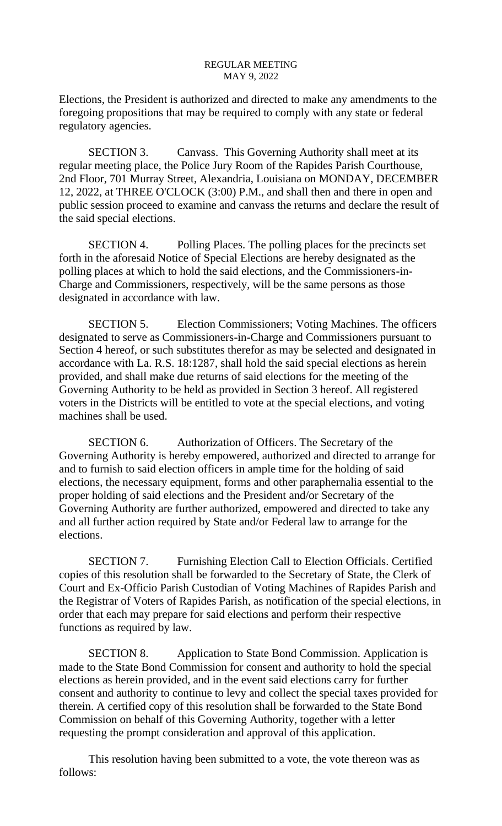Elections, the President is authorized and directed to make any amendments to the foregoing propositions that may be required to comply with any state or federal regulatory agencies.

SECTION 3. Canvass. This Governing Authority shall meet at its regular meeting place, the Police Jury Room of the Rapides Parish Courthouse, 2nd Floor, 701 Murray Street, Alexandria, Louisiana on MONDAY, DECEMBER 12, 2022, at THREE O'CLOCK (3:00) P.M., and shall then and there in open and public session proceed to examine and canvass the returns and declare the result of the said special elections.

SECTION 4. Polling Places. The polling places for the precincts set forth in the aforesaid Notice of Special Elections are hereby designated as the polling places at which to hold the said elections, and the Commissioners-in-Charge and Commissioners, respectively, will be the same persons as those designated in accordance with law.

SECTION 5. Election Commissioners; Voting Machines. The officers designated to serve as Commissioners-in-Charge and Commissioners pursuant to Section 4 hereof, or such substitutes therefor as may be selected and designated in accordance with La. R.S. 18:1287, shall hold the said special elections as herein provided, and shall make due returns of said elections for the meeting of the Governing Authority to be held as provided in Section 3 hereof. All registered voters in the Districts will be entitled to vote at the special elections, and voting machines shall be used.

SECTION 6. Authorization of Officers. The Secretary of the Governing Authority is hereby empowered, authorized and directed to arrange for and to furnish to said election officers in ample time for the holding of said elections, the necessary equipment, forms and other paraphernalia essential to the proper holding of said elections and the President and/or Secretary of the Governing Authority are further authorized, empowered and directed to take any and all further action required by State and/or Federal law to arrange for the elections.

SECTION 7. Furnishing Election Call to Election Officials. Certified copies of this resolution shall be forwarded to the Secretary of State, the Clerk of Court and Ex-Officio Parish Custodian of Voting Machines of Rapides Parish and the Registrar of Voters of Rapides Parish, as notification of the special elections, in order that each may prepare for said elections and perform their respective functions as required by law.

SECTION 8. Application to State Bond Commission. Application is made to the State Bond Commission for consent and authority to hold the special elections as herein provided, and in the event said elections carry for further consent and authority to continue to levy and collect the special taxes provided for therein. A certified copy of this resolution shall be forwarded to the State Bond Commission on behalf of this Governing Authority, together with a letter requesting the prompt consideration and approval of this application.

This resolution having been submitted to a vote, the vote thereon was as follows: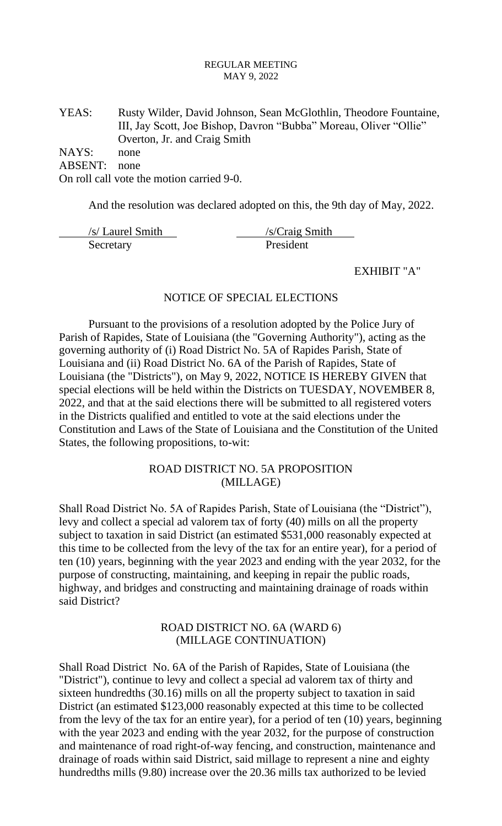YEAS: Rusty Wilder, David Johnson, Sean McGlothlin, Theodore Fountaine, III, Jay Scott, Joe Bishop, Davron "Bubba" Moreau, Oliver "Ollie" Overton, Jr. and Craig Smith

NAYS: none

ABSENT: none

On roll call vote the motion carried 9-0.

And the resolution was declared adopted on this, the 9th day of May, 2022.

| /s/ Laurel Smith | /s/Craig Smith |
|------------------|----------------|
| Secretary        | President      |

#### EXHIBIT "A"

### NOTICE OF SPECIAL ELECTIONS

Pursuant to the provisions of a resolution adopted by the Police Jury of Parish of Rapides, State of Louisiana (the "Governing Authority"), acting as the governing authority of (i) Road District No. 5A of Rapides Parish, State of Louisiana and (ii) Road District No. 6A of the Parish of Rapides, State of Louisiana (the "Districts"), on May 9, 2022, NOTICE IS HEREBY GIVEN that special elections will be held within the Districts on TUESDAY, NOVEMBER 8, 2022, and that at the said elections there will be submitted to all registered voters in the Districts qualified and entitled to vote at the said elections under the Constitution and Laws of the State of Louisiana and the Constitution of the United States, the following propositions, to-wit:

# ROAD DISTRICT NO. 5A PROPOSITION (MILLAGE)

Shall Road District No. 5A of Rapides Parish, State of Louisiana (the "District"), levy and collect a special ad valorem tax of forty (40) mills on all the property subject to taxation in said District (an estimated \$531,000 reasonably expected at this time to be collected from the levy of the tax for an entire year), for a period of ten (10) years, beginning with the year 2023 and ending with the year 2032, for the purpose of constructing, maintaining, and keeping in repair the public roads, highway, and bridges and constructing and maintaining drainage of roads within said District?

## ROAD DISTRICT NO. 6A (WARD 6) (MILLAGE CONTINUATION)

Shall Road District No. 6A of the Parish of Rapides, State of Louisiana (the "District"), continue to levy and collect a special ad valorem tax of thirty and sixteen hundredths (30.16) mills on all the property subject to taxation in said District (an estimated \$123,000 reasonably expected at this time to be collected from the levy of the tax for an entire year), for a period of ten (10) years, beginning with the year 2023 and ending with the year 2032, for the purpose of construction and maintenance of road right-of-way fencing, and construction, maintenance and drainage of roads within said District, said millage to represent a nine and eighty hundredths mills (9.80) increase over the 20.36 mills tax authorized to be levied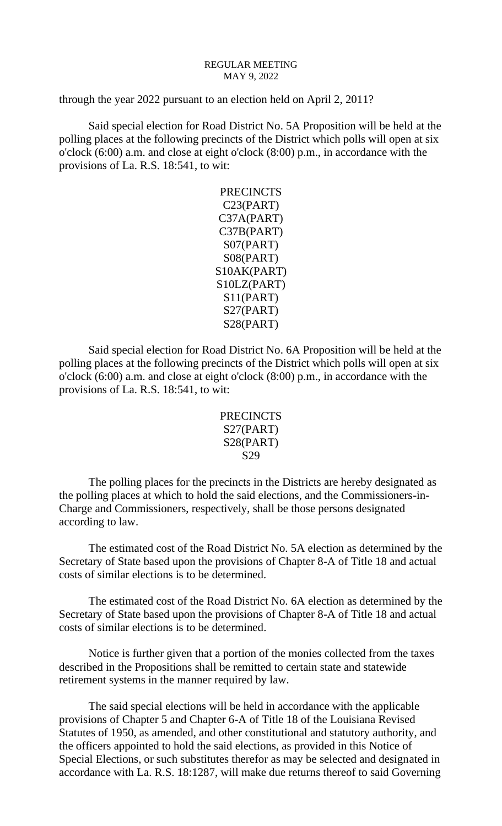through the year 2022 pursuant to an election held on April 2, 2011?

Said special election for Road District No. 5A Proposition will be held at the polling places at the following precincts of the District which polls will open at six o'clock (6:00) a.m. and close at eight o'clock (8:00) p.m., in accordance with the provisions of La. R.S. 18:541, to wit:

> **PRECINCTS** C23(PART) C37A(PART) C37B(PART) S07(PART) S08(PART) S10AK(PART) S10LZ(PART) S11(PART) S27(PART) S28(PART)

Said special election for Road District No. 6A Proposition will be held at the polling places at the following precincts of the District which polls will open at six o'clock (6:00) a.m. and close at eight o'clock (8:00) p.m., in accordance with the provisions of La. R.S. 18:541, to wit:

```
PRECINCTS
S27(PART)
S28(PART)
   S29
```
The polling places for the precincts in the Districts are hereby designated as the polling places at which to hold the said elections, and the Commissioners-in-Charge and Commissioners, respectively, shall be those persons designated according to law.

The estimated cost of the Road District No. 5A election as determined by the Secretary of State based upon the provisions of Chapter 8-A of Title 18 and actual costs of similar elections is to be determined.

The estimated cost of the Road District No. 6A election as determined by the Secretary of State based upon the provisions of Chapter 8-A of Title 18 and actual costs of similar elections is to be determined.

Notice is further given that a portion of the monies collected from the taxes described in the Propositions shall be remitted to certain state and statewide retirement systems in the manner required by law.

The said special elections will be held in accordance with the applicable provisions of Chapter 5 and Chapter 6-A of Title 18 of the Louisiana Revised Statutes of 1950, as amended, and other constitutional and statutory authority, and the officers appointed to hold the said elections, as provided in this Notice of Special Elections, or such substitutes therefor as may be selected and designated in accordance with La. R.S. 18:1287, will make due returns thereof to said Governing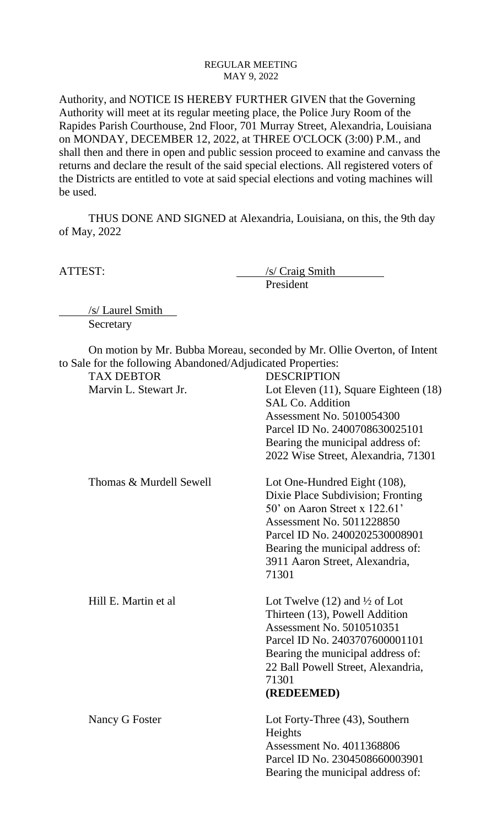Authority, and NOTICE IS HEREBY FURTHER GIVEN that the Governing Authority will meet at its regular meeting place, the Police Jury Room of the Rapides Parish Courthouse, 2nd Floor, 701 Murray Street, Alexandria, Louisiana on MONDAY, DECEMBER 12, 2022, at THREE O'CLOCK (3:00) P.M., and shall then and there in open and public session proceed to examine and canvass the returns and declare the result of the said special elections. All registered voters of the Districts are entitled to vote at said special elections and voting machines will be used.

THUS DONE AND SIGNED at Alexandria, Louisiana, on this, the 9th day of May, 2022

ATTEST: /s/ Craig Smith President

/s/ Laurel Smith Secretary

On motion by Mr. Bubba Moreau, seconded by Mr. Ollie Overton, of Intent to Sale for the following Abandoned/Adjudicated Properties:

| <b>TAX DEBTOR</b>       | <b>DESCRIPTION</b>                                               |
|-------------------------|------------------------------------------------------------------|
| Marvin L. Stewart Jr.   | Lot Eleven (11), Square Eighteen (18)<br><b>SAL Co. Addition</b> |
|                         | Assessment No. 5010054300                                        |
|                         | Parcel ID No. 2400708630025101                                   |
|                         | Bearing the municipal address of:                                |
|                         | 2022 Wise Street, Alexandria, 71301                              |
| Thomas & Murdell Sewell | Lot One-Hundred Eight (108),                                     |
|                         | Dixie Place Subdivision; Fronting                                |
|                         | 50' on Aaron Street x $122.61'$                                  |
|                         | <b>Assessment No. 5011228850</b>                                 |
|                         | Parcel ID No. 2400202530008901                                   |
|                         | Bearing the municipal address of:                                |
|                         | 3911 Aaron Street, Alexandria,                                   |
|                         | 71301                                                            |
| Hill E. Martin et al.   | Lot Twelve $(12)$ and $\frac{1}{2}$ of Lot                       |
|                         | Thirteen (13), Powell Addition                                   |
|                         | <b>Assessment No. 5010510351</b>                                 |
|                         | Parcel ID No. 2403707600001101                                   |
|                         | Bearing the municipal address of:                                |
|                         | 22 Ball Powell Street, Alexandria,                               |
|                         | 71301                                                            |
|                         | (REDEEMED)                                                       |
| Nancy G Foster          | Lot Forty-Three (43), Southern                                   |
|                         | Heights                                                          |
|                         | Assessment No. 4011368806                                        |
|                         | Parcel ID No. 2304508660003901                                   |
|                         | Bearing the municipal address of:                                |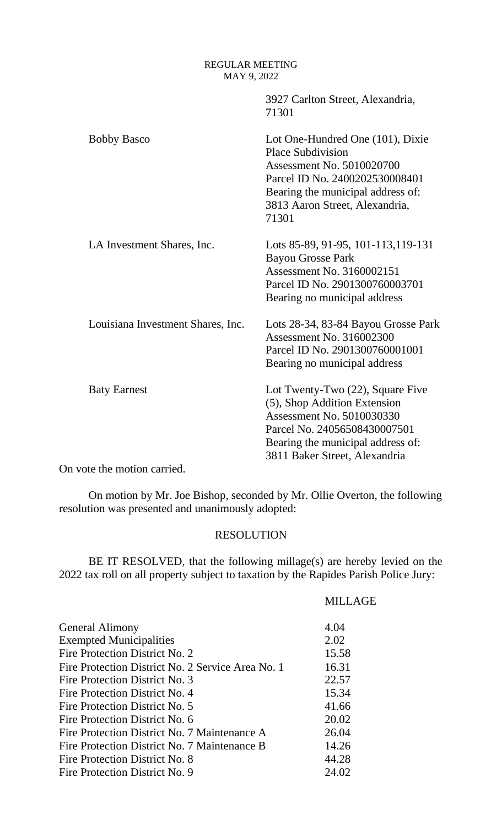| 3927 Carlton Street, Alexandria,<br>71301                                                                                                                                                                   |
|-------------------------------------------------------------------------------------------------------------------------------------------------------------------------------------------------------------|
| Lot One-Hundred One (101), Dixie<br><b>Place Subdivision</b><br>Assessment No. 5010020700<br>Parcel ID No. 2400202530008401<br>Bearing the municipal address of:<br>3813 Aaron Street, Alexandria,<br>71301 |
| Lots 85-89, 91-95, 101-113, 119-131<br><b>Bayou Grosse Park</b><br>Assessment No. 3160002151<br>Parcel ID No. 2901300760003701<br>Bearing no municipal address                                              |
| Lots 28-34, 83-84 Bayou Grosse Park<br>Assessment No. 316002300<br>Parcel ID No. 2901300760001001<br>Bearing no municipal address                                                                           |
| Lot Twenty-Two (22), Square Five<br>(5), Shop Addition Extension<br>Assessment No. 5010030330<br>Parcel No. 24056508430007501<br>Bearing the municipal address of:<br>3811 Baker Street, Alexandria         |
|                                                                                                                                                                                                             |

On vote the motion carried.

On motion by Mr. Joe Bishop, seconded by Mr. Ollie Overton, the following resolution was presented and unanimously adopted:

### RESOLUTION

BE IT RESOLVED, that the following millage(s) are hereby levied on the 2022 tax roll on all property subject to taxation by the Rapides Parish Police Jury:

| General Alimony                                   | 4.04  |
|---------------------------------------------------|-------|
| <b>Exempted Municipalities</b>                    | 2.02  |
| <b>Fire Protection District No. 2</b>             | 15.58 |
| Fire Protection District No. 2 Service Area No. 1 | 16.31 |
| <b>Fire Protection District No. 3</b>             | 22.57 |
| <b>Fire Protection District No. 4</b>             | 15.34 |
| Fire Protection District No. 5                    | 41.66 |
| Fire Protection District No. 6                    | 20.02 |
| Fire Protection District No. 7 Maintenance A      | 26.04 |
| Fire Protection District No. 7 Maintenance B      | 14.26 |
| <b>Fire Protection District No. 8</b>             | 44.28 |
| Fire Protection District No. 9                    | 24.02 |

### MILLAGE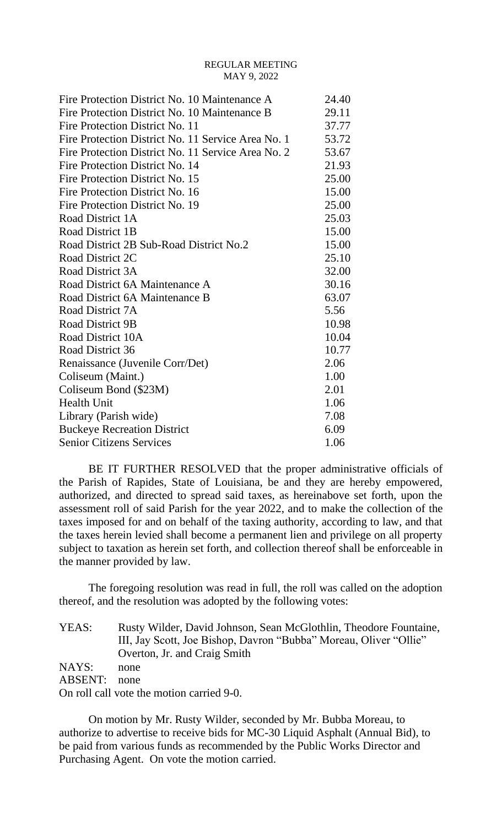| Fire Protection District No. 10 Maintenance A      | 24.40 |
|----------------------------------------------------|-------|
| Fire Protection District No. 10 Maintenance B      | 29.11 |
| Fire Protection District No. 11                    | 37.77 |
| Fire Protection District No. 11 Service Area No. 1 | 53.72 |
| Fire Protection District No. 11 Service Area No. 2 | 53.67 |
| Fire Protection District No. 14                    | 21.93 |
| Fire Protection District No. 15                    | 25.00 |
| Fire Protection District No. 16                    | 15.00 |
| Fire Protection District No. 19                    | 25.00 |
| Road District 1A                                   | 25.03 |
| Road District 1B                                   | 15.00 |
| Road District 2B Sub-Road District No.2            | 15.00 |
| Road District 2C                                   | 25.10 |
| Road District 3A                                   | 32.00 |
| Road District 6A Maintenance A                     | 30.16 |
| Road District 6A Maintenance B                     | 63.07 |
| Road District 7A                                   | 5.56  |
| Road District 9B                                   | 10.98 |
| Road District 10A                                  | 10.04 |
| Road District 36                                   | 10.77 |
| Renaissance (Juvenile Corr/Det)                    | 2.06  |
| Coliseum (Maint.)                                  | 1.00  |
| Coliseum Bond (\$23M)                              | 2.01  |
| <b>Health Unit</b>                                 | 1.06  |
| Library (Parish wide)                              | 7.08  |
| <b>Buckeye Recreation District</b>                 | 6.09  |
| <b>Senior Citizens Services</b>                    | 1.06  |

BE IT FURTHER RESOLVED that the proper administrative officials of the Parish of Rapides, State of Louisiana, be and they are hereby empowered, authorized, and directed to spread said taxes, as hereinabove set forth, upon the assessment roll of said Parish for the year 2022, and to make the collection of the taxes imposed for and on behalf of the taxing authority, according to law, and that the taxes herein levied shall become a permanent lien and privilege on all property subject to taxation as herein set forth, and collection thereof shall be enforceable in the manner provided by law.

The foregoing resolution was read in full, the roll was called on the adoption thereof, and the resolution was adopted by the following votes:

| YEAS:          | Rusty Wilder, David Johnson, Sean McGlothlin, Theodore Fountaine, |
|----------------|-------------------------------------------------------------------|
|                | III, Jay Scott, Joe Bishop, Davron "Bubba" Moreau, Oliver "Ollie" |
|                | Overton, Jr. and Craig Smith                                      |
| NAYS:          | none                                                              |
| <b>ABSENT:</b> | none                                                              |
|                | On roll call vote the motion carried 9-0.                         |

On motion by Mr. Rusty Wilder, seconded by Mr. Bubba Moreau, to authorize to advertise to receive bids for MC-30 Liquid Asphalt (Annual Bid), to be paid from various funds as recommended by the Public Works Director and Purchasing Agent. On vote the motion carried.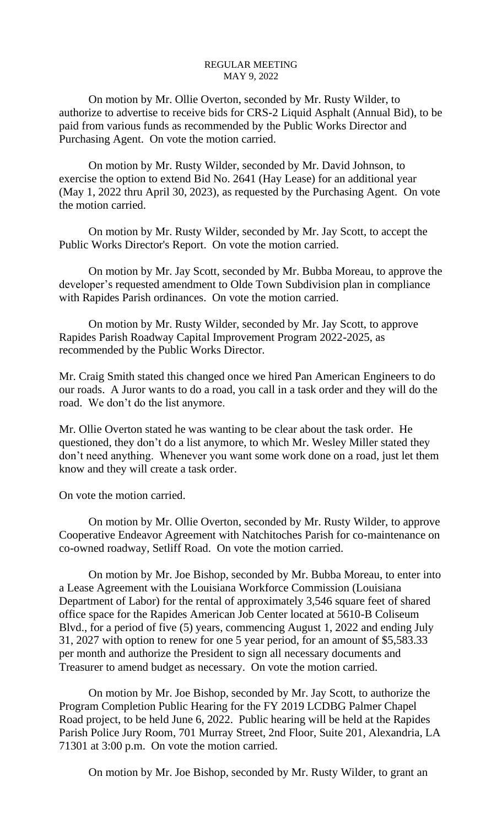On motion by Mr. Ollie Overton, seconded by Mr. Rusty Wilder, to authorize to advertise to receive bids for CRS-2 Liquid Asphalt (Annual Bid), to be paid from various funds as recommended by the Public Works Director and Purchasing Agent. On vote the motion carried.

On motion by Mr. Rusty Wilder, seconded by Mr. David Johnson, to exercise the option to extend Bid No. 2641 (Hay Lease) for an additional year (May 1, 2022 thru April 30, 2023), as requested by the Purchasing Agent. On vote the motion carried.

On motion by Mr. Rusty Wilder, seconded by Mr. Jay Scott, to accept the Public Works Director's Report. On vote the motion carried.

On motion by Mr. Jay Scott, seconded by Mr. Bubba Moreau, to approve the developer's requested amendment to Olde Town Subdivision plan in compliance with Rapides Parish ordinances. On vote the motion carried.

On motion by Mr. Rusty Wilder, seconded by Mr. Jay Scott, to approve Rapides Parish Roadway Capital Improvement Program 2022-2025, as recommended by the Public Works Director.

Mr. Craig Smith stated this changed once we hired Pan American Engineers to do our roads. A Juror wants to do a road, you call in a task order and they will do the road. We don't do the list anymore.

Mr. Ollie Overton stated he was wanting to be clear about the task order. He questioned, they don't do a list anymore, to which Mr. Wesley Miller stated they don't need anything. Whenever you want some work done on a road, just let them know and they will create a task order.

On vote the motion carried.

On motion by Mr. Ollie Overton, seconded by Mr. Rusty Wilder, to approve Cooperative Endeavor Agreement with Natchitoches Parish for co-maintenance on co-owned roadway, Setliff Road. On vote the motion carried.

On motion by Mr. Joe Bishop, seconded by Mr. Bubba Moreau, to enter into a Lease Agreement with the Louisiana Workforce Commission (Louisiana Department of Labor) for the rental of approximately 3,546 square feet of shared office space for the Rapides American Job Center located at 5610-B Coliseum Blvd., for a period of five (5) years, commencing August 1, 2022 and ending July 31, 2027 with option to renew for one 5 year period, for an amount of \$5,583.33 per month and authorize the President to sign all necessary documents and Treasurer to amend budget as necessary. On vote the motion carried.

On motion by Mr. Joe Bishop, seconded by Mr. Jay Scott, to authorize the Program Completion Public Hearing for the FY 2019 LCDBG Palmer Chapel Road project, to be held June 6, 2022. Public hearing will be held at the Rapides Parish Police Jury Room, 701 Murray Street, 2nd Floor, Suite 201, Alexandria, LA 71301 at 3:00 p.m. On vote the motion carried.

On motion by Mr. Joe Bishop, seconded by Mr. Rusty Wilder, to grant an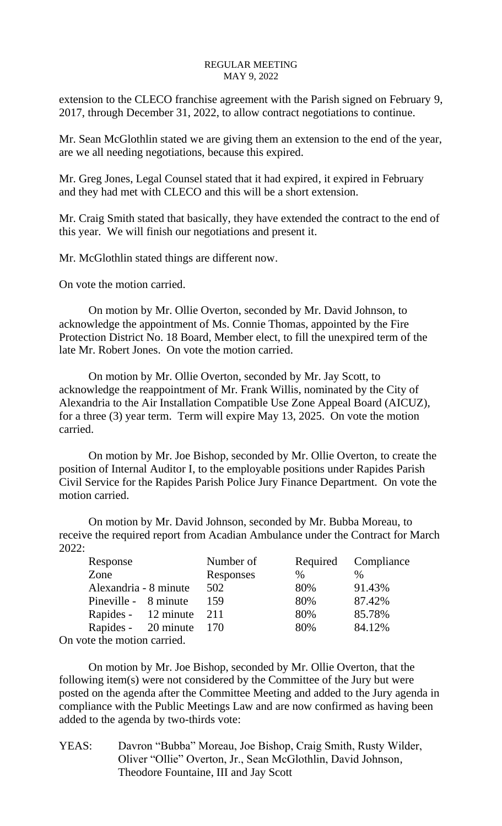extension to the CLECO franchise agreement with the Parish signed on February 9, 2017, through December 31, 2022, to allow contract negotiations to continue.

Mr. Sean McGlothlin stated we are giving them an extension to the end of the year, are we all needing negotiations, because this expired.

Mr. Greg Jones, Legal Counsel stated that it had expired, it expired in February and they had met with CLECO and this will be a short extension.

Mr. Craig Smith stated that basically, they have extended the contract to the end of this year. We will finish our negotiations and present it.

Mr. McGlothlin stated things are different now.

On vote the motion carried.

On motion by Mr. Ollie Overton, seconded by Mr. David Johnson, to acknowledge the appointment of Ms. Connie Thomas, appointed by the Fire Protection District No. 18 Board, Member elect, to fill the unexpired term of the late Mr. Robert Jones. On vote the motion carried.

On motion by Mr. Ollie Overton, seconded by Mr. Jay Scott, to acknowledge the reappointment of Mr. Frank Willis, nominated by the City of Alexandria to the Air Installation Compatible Use Zone Appeal Board (AICUZ), for a three (3) year term. Term will expire May 13, 2025. On vote the motion carried.

On motion by Mr. Joe Bishop, seconded by Mr. Ollie Overton, to create the position of Internal Auditor I, to the employable positions under Rapides Parish Civil Service for the Rapides Parish Police Jury Finance Department. On vote the motion carried.

On motion by Mr. David Johnson, seconded by Mr. Bubba Moreau, to receive the required report from Acadian Ambulance under the Contract for March 2022:

| Response                    | Number of | Required | Compliance |
|-----------------------------|-----------|----------|------------|
| Zone                        | Responses | $\%$     |            |
| Alexandria - 8 minute       | 502       | 80%      | 91.43%     |
| Pineville - 8 minute        | 159       | 80%      | 87.42%     |
| Rapides - 12 minute         | 211       | 80%      | 85.78%     |
| Rapides - 20 minute         | 170       | 80%      | 84.12%     |
| On vote the motion carried. |           |          |            |

On motion by Mr. Joe Bishop, seconded by Mr. Ollie Overton, that the following item(s) were not considered by the Committee of the Jury but were posted on the agenda after the Committee Meeting and added to the Jury agenda in compliance with the Public Meetings Law and are now confirmed as having been added to the agenda by two-thirds vote:

YEAS: Davron "Bubba" Moreau, Joe Bishop, Craig Smith, Rusty Wilder, Oliver "Ollie" Overton, Jr., Sean McGlothlin, David Johnson, Theodore Fountaine, III and Jay Scott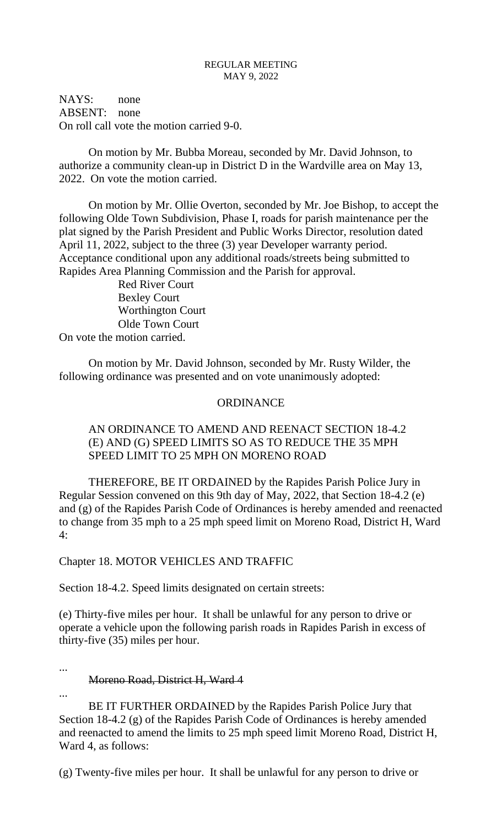NAYS: none ABSENT: none On roll call vote the motion carried 9-0.

On motion by Mr. Bubba Moreau, seconded by Mr. David Johnson, to authorize a community clean-up in District D in the Wardville area on May 13, 2022. On vote the motion carried.

On motion by Mr. Ollie Overton, seconded by Mr. Joe Bishop, to accept the following Olde Town Subdivision, Phase I, roads for parish maintenance per the plat signed by the Parish President and Public Works Director, resolution dated April 11, 2022, subject to the three (3) year Developer warranty period. Acceptance conditional upon any additional roads/streets being submitted to Rapides Area Planning Commission and the Parish for approval.

Red River Court Bexley Court Worthington Court Olde Town Court On vote the motion carried.

On motion by Mr. David Johnson, seconded by Mr. Rusty Wilder, the following ordinance was presented and on vote unanimously adopted:

## ORDINANCE

# AN ORDINANCE TO AMEND AND REENACT SECTION 18-4.2 (E) AND (G) SPEED LIMITS SO AS TO REDUCE THE 35 MPH SPEED LIMIT TO 25 MPH ON MORENO ROAD

THEREFORE, BE IT ORDAINED by the Rapides Parish Police Jury in Regular Session convened on this 9th day of May, 2022, that Section 18-4.2 (e) and (g) of the Rapides Parish Code of Ordinances is hereby amended and reenacted to change from 35 mph to a 25 mph speed limit on Moreno Road, District H, Ward 4:

# Chapter 18. MOTOR VEHICLES AND TRAFFIC

Section 18-4.2. Speed limits designated on certain streets:

(e) Thirty-five miles per hour. It shall be unlawful for any person to drive or operate a vehicle upon the following parish roads in Rapides Parish in excess of thirty-five (35) miles per hour.

...

...

## Moreno Road, District H, Ward 4

BE IT FURTHER ORDAINED by the Rapides Parish Police Jury that Section 18-4.2 (g) of the Rapides Parish Code of Ordinances is hereby amended and reenacted to amend the limits to 25 mph speed limit Moreno Road, District H, Ward 4, as follows:

(g) Twenty-five miles per hour. It shall be unlawful for any person to drive or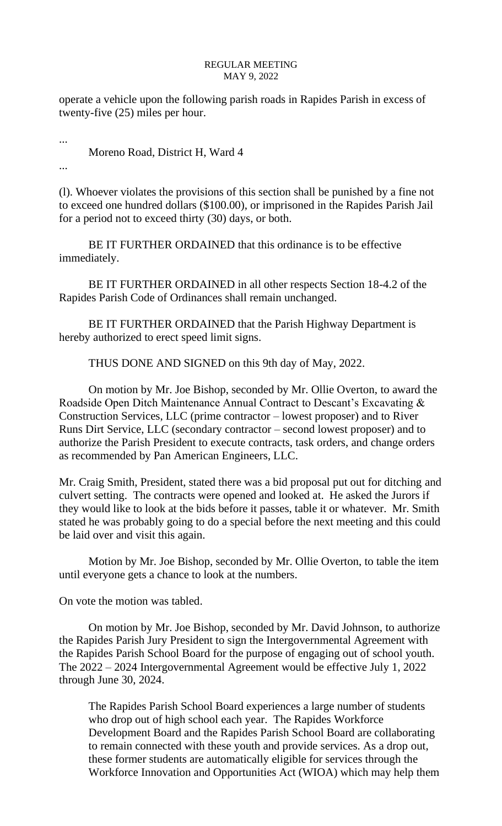operate a vehicle upon the following parish roads in Rapides Parish in excess of twenty-five (25) miles per hour.

Moreno Road, District H, Ward 4

...

...

(l). Whoever violates the provisions of this section shall be punished by a fine not to exceed one hundred dollars (\$100.00), or imprisoned in the Rapides Parish Jail for a period not to exceed thirty (30) days, or both.

BE IT FURTHER ORDAINED that this ordinance is to be effective immediately.

BE IT FURTHER ORDAINED in all other respects Section 18-4.2 of the Rapides Parish Code of Ordinances shall remain unchanged.

BE IT FURTHER ORDAINED that the Parish Highway Department is hereby authorized to erect speed limit signs.

THUS DONE AND SIGNED on this 9th day of May, 2022.

On motion by Mr. Joe Bishop, seconded by Mr. Ollie Overton, to award the Roadside Open Ditch Maintenance Annual Contract to Descant's Excavating & Construction Services, LLC (prime contractor – lowest proposer) and to River Runs Dirt Service, LLC (secondary contractor – second lowest proposer) and to authorize the Parish President to execute contracts, task orders, and change orders as recommended by Pan American Engineers, LLC.

Mr. Craig Smith, President, stated there was a bid proposal put out for ditching and culvert setting. The contracts were opened and looked at. He asked the Jurors if they would like to look at the bids before it passes, table it or whatever. Mr. Smith stated he was probably going to do a special before the next meeting and this could be laid over and visit this again.

Motion by Mr. Joe Bishop, seconded by Mr. Ollie Overton, to table the item until everyone gets a chance to look at the numbers.

On vote the motion was tabled.

On motion by Mr. Joe Bishop, seconded by Mr. David Johnson, to authorize the Rapides Parish Jury President to sign the Intergovernmental Agreement with the Rapides Parish School Board for the purpose of engaging out of school youth. The 2022 – 2024 Intergovernmental Agreement would be effective July 1, 2022 through June 30, 2024.

The Rapides Parish School Board experiences a large number of students who drop out of high school each year. The Rapides Workforce Development Board and the Rapides Parish School Board are collaborating to remain connected with these youth and provide services. As a drop out, these former students are automatically eligible for services through the Workforce Innovation and Opportunities Act (WIOA) which may help them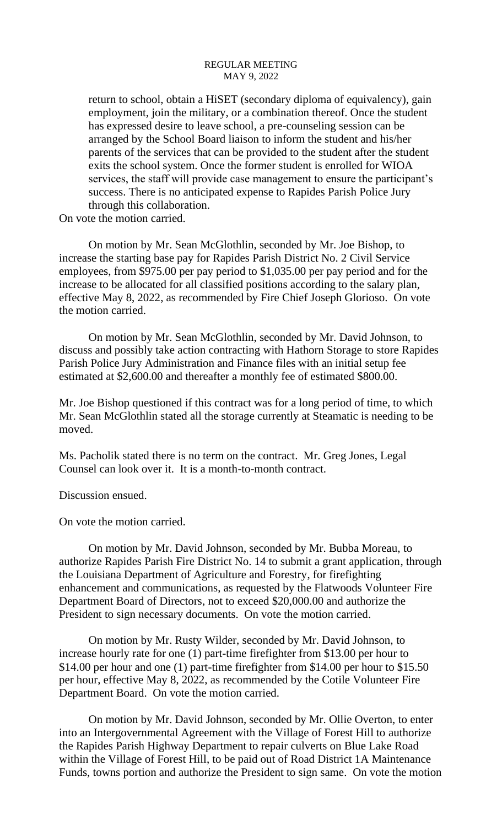return to school, obtain a HiSET (secondary diploma of equivalency), gain employment, join the military, or a combination thereof. Once the student has expressed desire to leave school, a pre-counseling session can be arranged by the School Board liaison to inform the student and his/her parents of the services that can be provided to the student after the student exits the school system. Once the former student is enrolled for WIOA services, the staff will provide case management to ensure the participant's success. There is no anticipated expense to Rapides Parish Police Jury through this collaboration.

On vote the motion carried.

On motion by Mr. Sean McGlothlin, seconded by Mr. Joe Bishop, to increase the starting base pay for Rapides Parish District No. 2 Civil Service employees, from \$975.00 per pay period to \$1,035.00 per pay period and for the increase to be allocated for all classified positions according to the salary plan, effective May 8, 2022, as recommended by Fire Chief Joseph Glorioso. On vote the motion carried.

On motion by Mr. Sean McGlothlin, seconded by Mr. David Johnson, to discuss and possibly take action contracting with Hathorn Storage to store Rapides Parish Police Jury Administration and Finance files with an initial setup fee estimated at \$2,600.00 and thereafter a monthly fee of estimated \$800.00.

Mr. Joe Bishop questioned if this contract was for a long period of time, to which Mr. Sean McGlothlin stated all the storage currently at Steamatic is needing to be moved.

Ms. Pacholik stated there is no term on the contract. Mr. Greg Jones, Legal Counsel can look over it. It is a month-to-month contract.

Discussion ensued.

On vote the motion carried.

On motion by Mr. David Johnson, seconded by Mr. Bubba Moreau, to authorize Rapides Parish Fire District No. 14 to submit a grant application, through the Louisiana Department of Agriculture and Forestry, for firefighting enhancement and communications, as requested by the Flatwoods Volunteer Fire Department Board of Directors, not to exceed \$20,000.00 and authorize the President to sign necessary documents. On vote the motion carried.

On motion by Mr. Rusty Wilder, seconded by Mr. David Johnson, to increase hourly rate for one (1) part-time firefighter from \$13.00 per hour to \$14.00 per hour and one (1) part-time firefighter from \$14.00 per hour to \$15.50 per hour, effective May 8, 2022, as recommended by the Cotile Volunteer Fire Department Board. On vote the motion carried.

On motion by Mr. David Johnson, seconded by Mr. Ollie Overton, to enter into an Intergovernmental Agreement with the Village of Forest Hill to authorize the Rapides Parish Highway Department to repair culverts on Blue Lake Road within the Village of Forest Hill, to be paid out of Road District 1A Maintenance Funds, towns portion and authorize the President to sign same. On vote the motion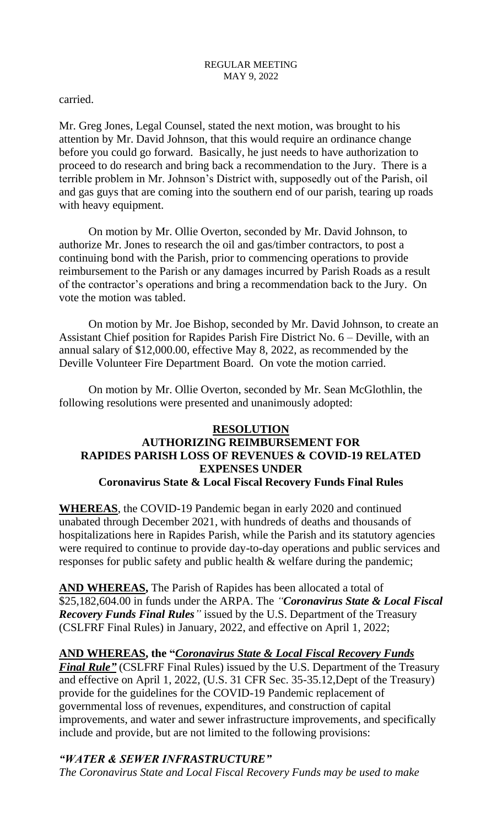carried.

Mr. Greg Jones, Legal Counsel, stated the next motion, was brought to his attention by Mr. David Johnson, that this would require an ordinance change before you could go forward. Basically, he just needs to have authorization to proceed to do research and bring back a recommendation to the Jury. There is a terrible problem in Mr. Johnson's District with, supposedly out of the Parish, oil and gas guys that are coming into the southern end of our parish, tearing up roads with heavy equipment.

On motion by Mr. Ollie Overton, seconded by Mr. David Johnson, to authorize Mr. Jones to research the oil and gas/timber contractors, to post a continuing bond with the Parish, prior to commencing operations to provide reimbursement to the Parish or any damages incurred by Parish Roads as a result of the contractor's operations and bring a recommendation back to the Jury. On vote the motion was tabled.

On motion by Mr. Joe Bishop, seconded by Mr. David Johnson, to create an Assistant Chief position for Rapides Parish Fire District No. 6 – Deville, with an annual salary of \$12,000.00, effective May 8, 2022, as recommended by the Deville Volunteer Fire Department Board. On vote the motion carried.

On motion by Mr. Ollie Overton, seconded by Mr. Sean McGlothlin, the following resolutions were presented and unanimously adopted:

# **RESOLUTION AUTHORIZING REIMBURSEMENT FOR RAPIDES PARISH LOSS OF REVENUES & COVID-19 RELATED EXPENSES UNDER Coronavirus State & Local Fiscal Recovery Funds Final Rules**

**WHEREAS**, the COVID-19 Pandemic began in early 2020 and continued unabated through December 2021, with hundreds of deaths and thousands of hospitalizations here in Rapides Parish, while the Parish and its statutory agencies were required to continue to provide day-to-day operations and public services and responses for public safety and public health & welfare during the pandemic;

**AND WHEREAS,** The Parish of Rapides has been allocated a total of \$25,182,604.00 in funds under the ARPA. The *"Coronavirus State & Local Fiscal Recovery Funds Final Rules"* issued by the U.S. Department of the Treasury (CSLFRF Final Rules) in January, 2022, and effective on April 1, 2022;

## **AND WHEREAS, the "***Coronavirus State & Local Fiscal Recovery Funds*

*Final Rule"* (CSLFRF Final Rules) issued by the U.S. Department of the Treasury and effective on April 1, 2022, (U.S. 31 CFR Sec. 35-35.12,Dept of the Treasury) provide for the guidelines for the COVID-19 Pandemic replacement of governmental loss of revenues, expenditures, and construction of capital improvements, and water and sewer infrastructure improvements, and specifically include and provide, but are not limited to the following provisions:

# *"WATER & SEWER INFRASTRUCTURE"*

*The Coronavirus State and Local Fiscal Recovery Funds may be used to make*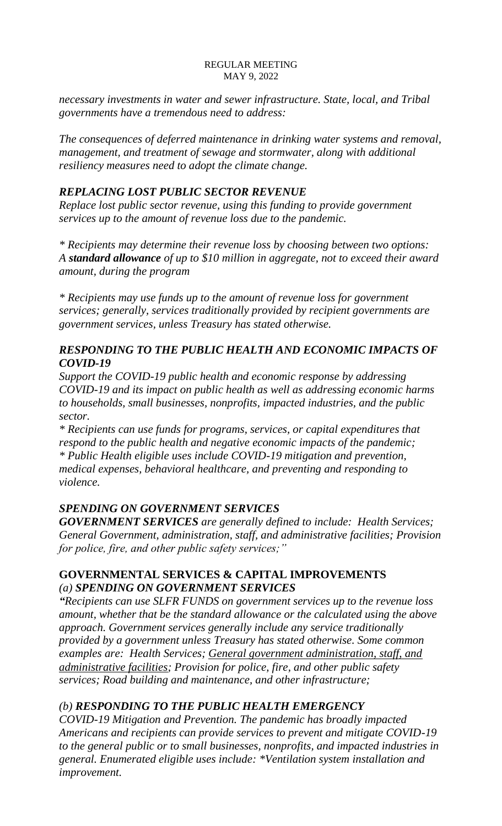*necessary investments in water and sewer infrastructure. State, local, and Tribal governments have a tremendous need to address:* 

*The consequences of deferred maintenance in drinking water systems and removal, management, and treatment of sewage and stormwater, along with additional resiliency measures need to adopt the climate change.*

# *REPLACING LOST PUBLIC SECTOR REVENUE*

*Replace lost public sector revenue, using this funding to provide government services up to the amount of revenue loss due to the pandemic.* 

*\* Recipients may determine their revenue loss by choosing between two options: A standard allowance of up to \$10 million in aggregate, not to exceed their award amount, during the program*

*\* Recipients may use funds up to the amount of revenue loss for government services; generally, services traditionally provided by recipient governments are government services, unless Treasury has stated otherwise.*

# *RESPONDING TO THE PUBLIC HEALTH AND ECONOMIC IMPACTS OF COVID-19*

*Support the COVID-19 public health and economic response by addressing COVID-19 and its impact on public health as well as addressing economic harms to households, small businesses, nonprofits, impacted industries, and the public sector.*

*\* Recipients can use funds for programs, services, or capital expenditures that respond to the public health and negative economic impacts of the pandemic; \* Public Health eligible uses include COVID-19 mitigation and prevention, medical expenses, behavioral healthcare, and preventing and responding to violence.*

# *SPENDING ON GOVERNMENT SERVICES*

*GOVERNMENT SERVICES are generally defined to include: Health Services; General Government, administration, staff, and administrative facilities; Provision for police, fire, and other public safety services;"*

# **GOVERNMENTAL SERVICES & CAPITAL IMPROVEMENTS** *(a) SPENDING ON GOVERNMENT SERVICES*

*"Recipients can use SLFR FUNDS on government services up to the revenue loss amount, whether that be the standard allowance or the calculated using the above approach. Government services generally include any service traditionally provided by a government unless Treasury has stated otherwise. Some common examples are: Health Services; General government administration, staff, and administrative facilities; Provision for police, fire, and other public safety services; Road building and maintenance, and other infrastructure;* 

# *(b) RESPONDING TO THE PUBLIC HEALTH EMERGENCY*

*COVID-19 Mitigation and Prevention. The pandemic has broadly impacted Americans and recipients can provide services to prevent and mitigate COVID-19 to the general public or to small businesses, nonprofits, and impacted industries in general. Enumerated eligible uses include: \*Ventilation system installation and improvement.*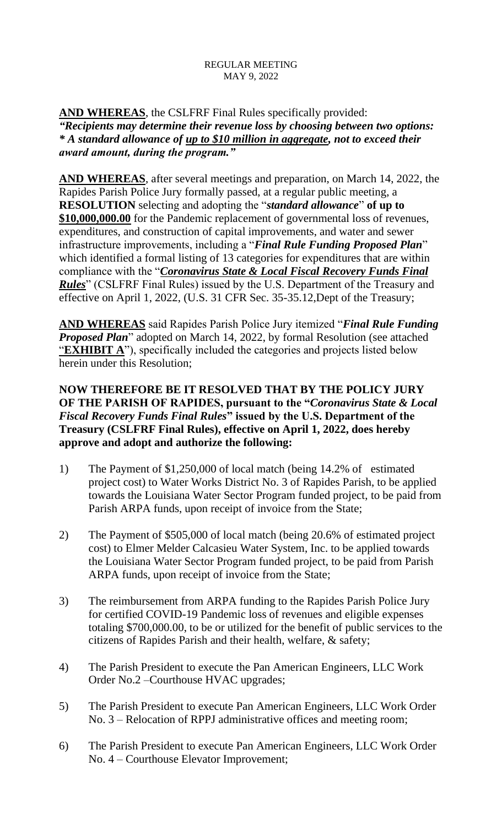# **AND WHEREAS**, the CSLFRF Final Rules specifically provided: *"Recipients may determine their revenue loss by choosing between two options: \* A standard allowance of up to \$10 million in aggregate, not to exceed their award amount, during the program."*

**AND WHEREAS**, after several meetings and preparation, on March 14, 2022, the Rapides Parish Police Jury formally passed, at a regular public meeting, a **RESOLUTION** selecting and adopting the "*standard allowance*" **of up to \$10,000,000.00** for the Pandemic replacement of governmental loss of revenues, expenditures, and construction of capital improvements, and water and sewer infrastructure improvements, including a "*Final Rule Funding Proposed Plan*" which identified a formal listing of 13 categories for expenditures that are within compliance with the "*Coronavirus State & Local Fiscal Recovery Funds Final Rules*" (CSLFRF Final Rules) issued by the U.S. Department of the Treasury and effective on April 1, 2022, (U.S. 31 CFR Sec. 35-35.12,Dept of the Treasury;

**AND WHEREAS** said Rapides Parish Police Jury itemized "*Final Rule Funding Proposed Plan*" adopted on March 14, 2022, by formal Resolution (see attached **EXHIBIT A**"), specifically included the categories and projects listed below herein under this Resolution;

# **NOW THEREFORE BE IT RESOLVED THAT BY THE POLICY JURY OF THE PARISH OF RAPIDES, pursuant to the "***Coronavirus State & Local Fiscal Recovery Funds Final Rules***" issued by the U.S. Department of the Treasury (CSLFRF Final Rules), effective on April 1, 2022, does hereby approve and adopt and authorize the following:**

- 1) The Payment of \$1,250,000 of local match (being 14.2% of estimated project cost) to Water Works District No. 3 of Rapides Parish, to be applied towards the Louisiana Water Sector Program funded project, to be paid from Parish ARPA funds, upon receipt of invoice from the State;
- 2) The Payment of \$505,000 of local match (being 20.6% of estimated project cost) to Elmer Melder Calcasieu Water System, Inc. to be applied towards the Louisiana Water Sector Program funded project, to be paid from Parish ARPA funds, upon receipt of invoice from the State;
- 3) The reimbursement from ARPA funding to the Rapides Parish Police Jury for certified COVID-19 Pandemic loss of revenues and eligible expenses totaling \$700,000.00, to be or utilized for the benefit of public services to the citizens of Rapides Parish and their health, welfare, & safety;
- 4) The Parish President to execute the Pan American Engineers, LLC Work Order No.2 –Courthouse HVAC upgrades;
- 5) The Parish President to execute Pan American Engineers, LLC Work Order No. 3 – Relocation of RPPJ administrative offices and meeting room;
- 6) The Parish President to execute Pan American Engineers, LLC Work Order No. 4 – Courthouse Elevator Improvement;